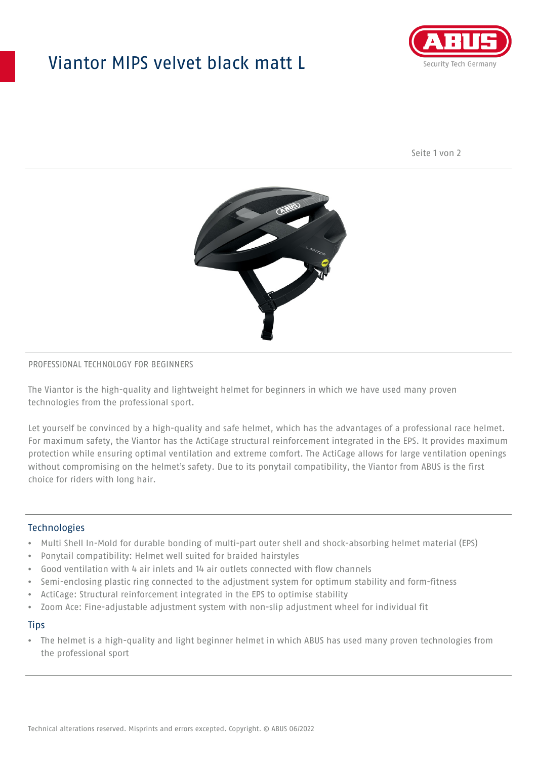## Viantor MIPS velvet black matt L



Seite 1 von 2



#### PROFESSIONAL TECHNOLOGY FOR BEGINNERS

The Viantor is the high-quality and lightweight helmet for beginners in which we have used many proven technologies from the professional sport.

Let yourself be convinced by a high-quality and safe helmet, which has the advantages of a professional race helmet. For maximum safety, the Viantor has the ActiCage structural reinforcement integrated in the EPS. It provides maximum protection while ensuring optimal ventilation and extreme comfort. The ActiCage allows for large ventilation openings without compromising on the helmet's safety. Due to its ponytail compatibility, the Viantor from ABUS is the first choice for riders with long hair.

### **Technologies**

- Multi Shell In-Mold for durable bonding of multi-part outer shell and shock-absorbing helmet material (EPS)
- Ponytail compatibility: Helmet well suited for braided hairstyles
- Good ventilation with 4 air inlets and 14 air outlets connected with flow channels
- Semi-enclosing plastic ring connected to the adjustment system for optimum stability and form-fitness
- ActiCage: Structural reinforcement integrated in the EPS to optimise stability
- Zoom Ace: Fine-adjustable adjustment system with non-slip adjustment wheel for individual fit

#### **Tips**

• The helmet is a high-quality and light beginner helmet in which ABUS has used many proven technologies from the professional sport